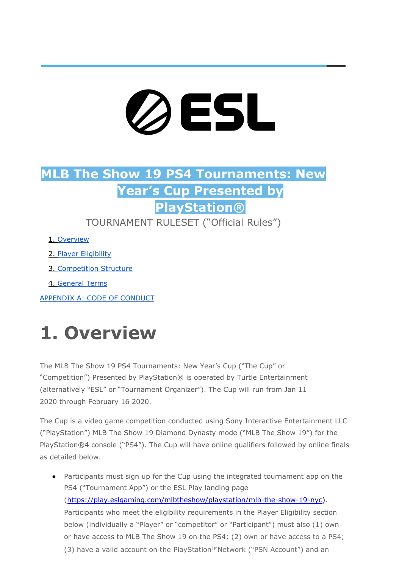# ØESL

### **MLB The Show 19 PS4 Tournaments: New Year's Cup Presented by PlayStation®**

TOURNAMENT RULESET ("Official Rules")

- 1. [Overview](https://docs.google.com/document/d/1j_XDQBOC0ENeaKWwG2YMOimQW6afdywx/edit#heading%3Dh.1fob9te)
- 2. Player [Eligibility](https://docs.google.com/document/d/1j_XDQBOC0ENeaKWwG2YMOimQW6afdywx/edit#heading%3Dh.2et92p0)
- 3. [Competition](https://docs.google.com/document/d/1j_XDQBOC0ENeaKWwG2YMOimQW6afdywx/edit#heading%3Dh.3dy6vkm) Structure
- 4. [General](https://docs.google.com/document/d/1j_XDQBOC0ENeaKWwG2YMOimQW6afdywx/edit#heading%3Dh.2s8eyo1) Terms

[APPENDIX](https://docs.google.com/document/d/1j_XDQBOC0ENeaKWwG2YMOimQW6afdywx/edit#heading%3Dh.17dp8vu) A: CODE OF CONDUCT

# **1. Overview**

The MLB The Show 19 PS4 Tournaments: New Year's Cup ("The Cup" or "Competition") Presented by PlayStation® is operated by Turtle Entertainment (alternatively "ESL" or "Tournament Organizer"). The Cup will run from Jan 11 2020 through February 16 2020.

The Cup is a video game competition conducted using Sony Interactive Entertainment LLC ("PlayStation") MLB The Show 19 Diamond Dynasty mode ("MLB The Show 19") for the PlayStation®4 console ("PS4"). The Cup will have online qualifiers followed by online finals as detailed below.

● Participants must sign up for the Cup using the integrated tournament app on the PS4 ("Tournament App") or the ESL Play landing page ([https://play.eslgaming.com/mlbtheshow/playstation/mlb-the-show-19-nyc\)](https://play.eslgaming.com/mlbtheshow/playstation/mlb-the-show-19-nyc). Participants who meet the eligibility requirements in the Player Eligibility section below (individually a "Player" or "competitor" or "Participant") must also (1) own or have access to MLB The Show 19 on the PS4; (2) own or have access to a PS4; (3) have a valid account on the PlayStation™Network ("PSN Account") and an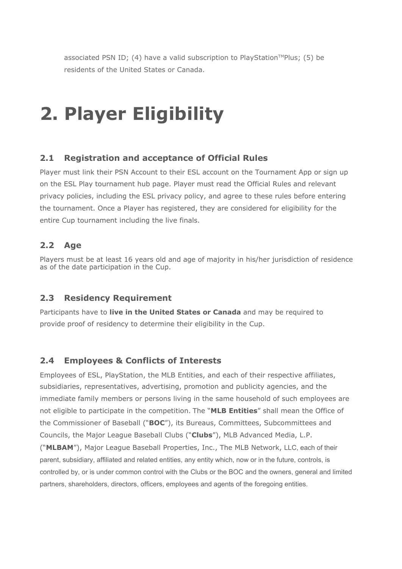associated PSN ID; (4) have a valid subscription to PlayStation™Plus; (5) be residents of the United States or Canada.

## **2. Player Eligibility**

### **2.1 Registration and acceptance of Official Rules**

Player must link their PSN Account to their ESL account on the Tournament App or sign up on the ESL Play tournament hub page. Player must read the Official Rules and relevant privacy policies, including the ESL privacy policy, and agree to these rules before entering the tournament. Once a Player has registered, they are considered for eligibility for the entire Cup tournament including the live finals.

### **2.2 Age**

Players must be at least 16 years old and age of majority in his/her jurisdiction of residence as of the date participation in the Cup.

### **2.3 Residency Requirement**

Participants have to **live in the United States or Canada** and may be required to provide proof of residency to determine their eligibility in the Cup.

### **2.4 Employees & Conflicts of Interests**

Employees of ESL, PlayStation, the MLB Entities, and each of their respective affiliates, subsidiaries, representatives, advertising, promotion and publicity agencies, and the immediate family members or persons living in the same household of such employees are not eligible to participate in the competition. The "**MLB Entities**" shall mean the Office of the Commissioner of Baseball ("**BOC**"), its Bureaus, Committees, Subcommittees and Councils, the Major League Baseball Clubs ("**Clubs**"), MLB Advanced Media, L.P. ("**MLBAM**"), Major League Baseball Properties, Inc., The MLB Network, LLC, each of their parent, subsidiary, affiliated and related entities, any entity which, now or in the future, controls, is controlled by, or is under common control with the Clubs or the BOC and the owners, general and limited partners, shareholders, directors, officers, employees and agents of the foregoing entities.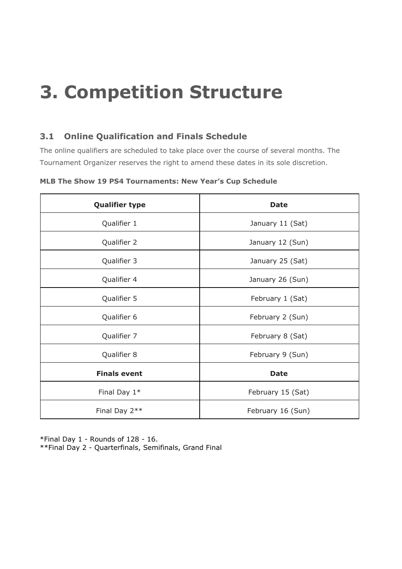# **3. Competition Structure**

### **3.1 Online Qualification and Finals Schedule**

The online qualifiers are scheduled to take place over the course of several months. The Tournament Organizer reserves the right to amend these dates in its sole discretion.

| <b>Qualifier type</b> | <b>Date</b>       |
|-----------------------|-------------------|
| Qualifier 1           | January 11 (Sat)  |
| Qualifier 2           | January 12 (Sun)  |
| Qualifier 3           | January 25 (Sat)  |
| Qualifier 4           | January 26 (Sun)  |
| Qualifier 5           | February 1 (Sat)  |
| Qualifier 6           | February 2 (Sun)  |
| Qualifier 7           | February 8 (Sat)  |
| Qualifier 8           | February 9 (Sun)  |
| <b>Finals event</b>   | <b>Date</b>       |
| Final Day $1*$        | February 15 (Sat) |
| Final Day 2**         | February 16 (Sun) |

**MLB The Show 19 PS4 Tournaments: New Year's Cup Schedule**

\*Final Day 1 - Rounds of 128 - 16. \*\*Final Day 2 - Quarterfinals, Semifinals, Grand Final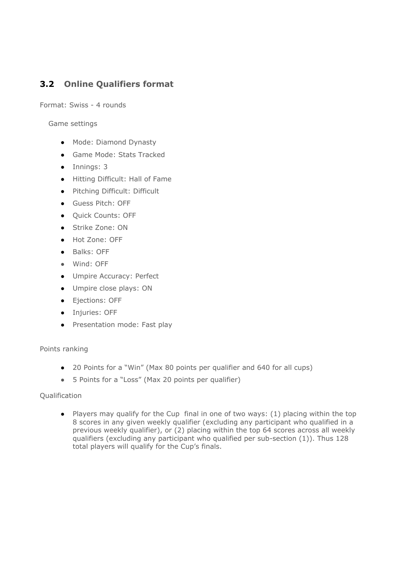### **3.2 Online Qualifiers format**

Format: Swiss - 4 rounds

Game settings

- Mode: Diamond Dynasty
- Game Mode: Stats Tracked
- Innings: 3
- Hitting Difficult: Hall of Fame
- Pitching Difficult: Difficult
- Guess Pitch: OFF
- Quick Counts: OFF
- Strike Zone: ON
- Hot Zone: OFF
- Balks: OFF
- Wind: OFF
- Umpire Accuracy: Perfect
- Umpire close plays: ON
- Ejections: OFF
- Injuries: OFF
- Presentation mode: Fast play

### Points ranking

- 20 Points for a "Win" (Max 80 points per qualifier and 640 for all cups)
- 5 Points for a "Loss" (Max 20 points per qualifier)

### Qualification

● Players may qualify for the Cup final in one of two ways: (1) placing within the top 8 scores in any given weekly qualifier (excluding any participant who qualified in a previous weekly qualifier), or (2) placing within the top 64 scores across all weekly qualifiers (excluding any participant who qualified per sub-section (1)). Thus 128 total players will qualify for the Cup's finals.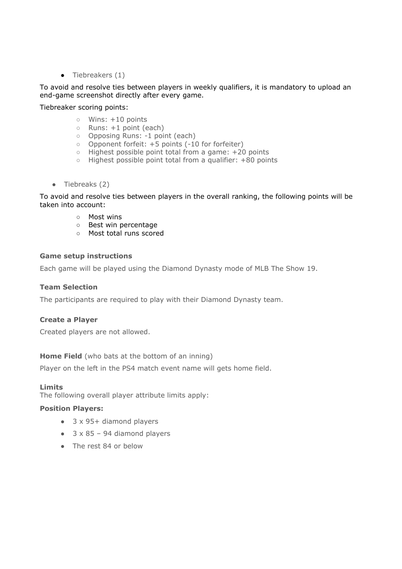$\bullet$  Tiebreakers  $(1)$ 

### To avoid and resolve ties between players in weekly qualifiers, it is mandatory to upload an end-game screenshot directly after every game.

Tiebreaker scoring points:

- Wins: +10 points
- Runs: +1 point (each)
- Opposing Runs: -1 point (each)
- Opponent forfeit: +5 points (-10 for forfeiter)
- Highest possible point total from a game: +20 points
- Highest possible point total from a qualifier: +80 points
- $\bullet$  Tiebreaks (2)

To avoid and resolve ties between players in the overall ranking, the following points will be taken into account:

- Most wins
- Best win percentage
- Most total runs scored

### **Game setup instructions**

Each game will be played using the Diamond Dynasty mode of MLB The Show 19.

### **Team Selection**

The participants are required to play with their Diamond Dynasty team.

### **Create a Player**

Created players are not allowed.

### **Home Field** (who bats at the bottom of an inning)

Player on the left in the PS4 match event name will gets home field.

### **Limits**

The following overall player attribute limits apply:

### **Position Players:**

- 3 x 95+ diamond players
- $\bullet$  3 x 85 94 diamond players
- The rest 84 or below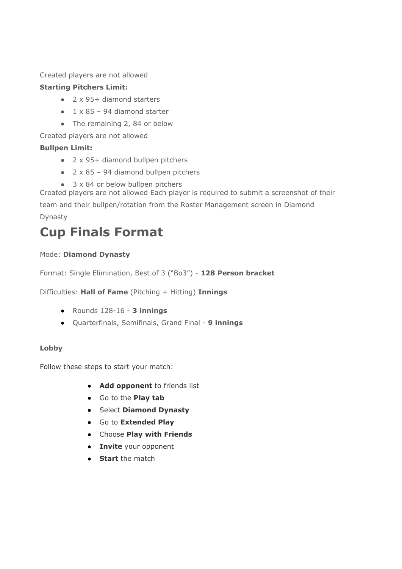### Created players are not allowed

### **Starting Pitchers Limit:**

- 2 x 95+ diamond starters
- $\bullet$  1 x 85 94 diamond starter
- The remaining 2, 84 or below

Created players are not allowed

### **Bullpen Limit:**

- 2 x 95+ diamond bullpen pitchers
- $\bullet$  2 x 85 94 diamond bullpen pitchers
- $\bullet$  3 x 84 or below bullpen pitchers

Created players are not allowed Each player is required to submit a screenshot of their team and their bullpen/rotation from the Roster Management screen in Diamond Dynasty

### **Cup Finals Format**

### Mode: **Diamond Dynasty**

Format: Single Elimination, Best of 3 ("Bo3") - **128 Person bracket**

Difficulties: **Hall of Fame** (Pitching + Hitting) **Innings**

- **●** Rounds 128-16 **3 innings**
- **●** Quarterfinals, Semifinals, Grand Final **9 innings**

### **Lobby**

Follow these steps to start your match:

- **Add opponent** to friends list
- **●** Go to the **Play tab**
- **●** Select **Diamond Dynasty**
- **●** Go to **Extended Play**
- **●** Choose **Play with Friends**
- **Invite** your opponent
- **Start** the match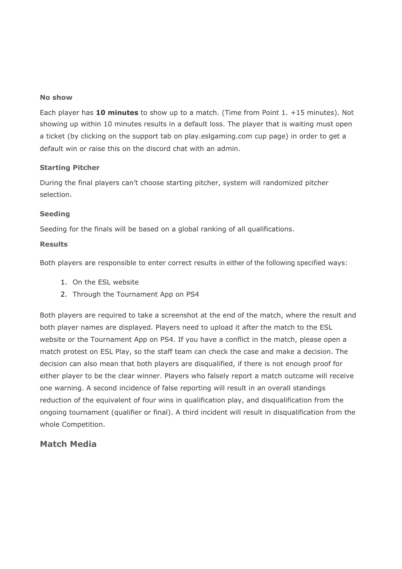### **No show**

Each player has **10 minutes** to show up to a match. (Time from Point 1. +15 minutes). Not showing up within 10 minutes results in a default loss. The player that is waiting must open a ticket (by clicking on the support tab on play.eslgaming.com cup page) in order to get a default win or raise this on the discord chat with an admin.

### **Starting Pitcher**

During the final players can't choose starting pitcher, system will randomized pitcher selection.

### **Seeding**

Seeding for the finals will be based on a global ranking of all qualifications.

### **Results**

Both players are responsible to enter correct results in either of the following specified ways:

- 1. On the ESL website
- 2. Through the Tournament App on PS4

Both players are required to take a screenshot at the end of the match, where the result and both player names are displayed. Players need to upload it after the match to the ESL website or the Tournament App on PS4. If you have a conflict in the match, please open a match protest on ESL Play, so the staff team can check the case and make a decision. The decision can also mean that both players are disqualified, if there is not enough proof for either player to be the clear winner. Players who falsely report a match outcome will receive one warning. A second incidence of false reporting will result in an overall standings reduction of the equivalent of four wins in qualification play, and disqualification from the ongoing tournament (qualifier or final). A third incident will result in disqualification from the whole Competition.

### **Match Media**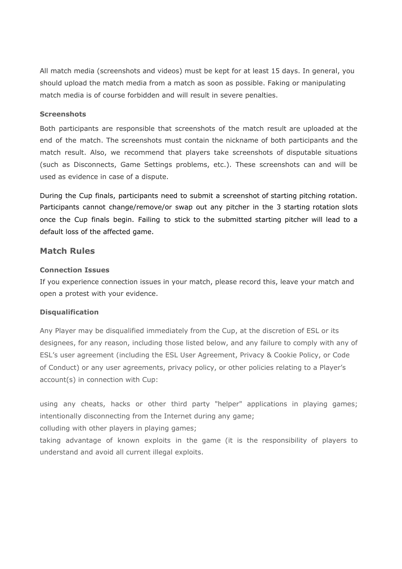All match media (screenshots and videos) must be kept for at least 15 days. In general, you should upload the match media from a match as soon as possible. Faking or manipulating match media is of course forbidden and will result in severe penalties.

### **Screenshots**

Both participants are responsible that screenshots of the match result are uploaded at the end of the match. The screenshots must contain the nickname of both participants and the match result. Also, we recommend that players take screenshots of disputable situations (such as Disconnects, Game Settings problems, etc.). These screenshots can and will be used as evidence in case of a dispute.

During the Cup finals, participants need to submit a screenshot of starting pitching rotation. Participants cannot change/remove/or swap out any pitcher in the 3 starting rotation slots once the Cup finals begin. Failing to stick to the submitted starting pitcher will lead to a default loss of the affected game.

### **Match Rules**

### **Connection Issues**

If you experience connection issues in your match, please record this, leave your match and open a protest with your evidence.

### **Disqualification**

Any Player may be disqualified immediately from the Cup, at the discretion of ESL or its designees, for any reason, including those listed below, and any failure to comply with any of ESL's user agreement (including the ESL User Agreement, Privacy & Cookie Policy, or Code of Conduct) or any user agreements, privacy policy, or other policies relating to a Player's account(s) in connection with Cup:

using any cheats, hacks or other third party "helper" applications in playing games; intentionally disconnecting from the Internet during any game;

colluding with other players in playing games;

taking advantage of known exploits in the game (it is the responsibility of players to understand and avoid all current illegal exploits.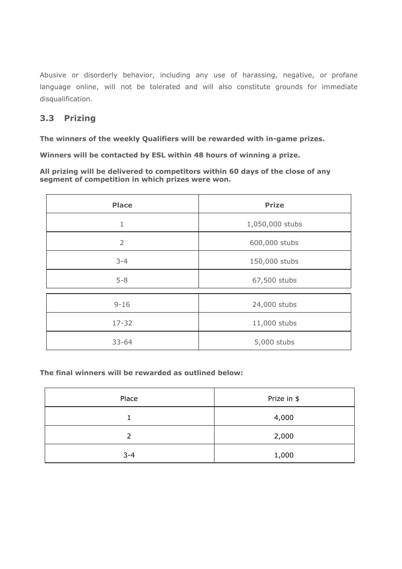Abusive or disorderly behavior, including any use of harassing, negative, or profane language online, will not be tolerated and will also constitute grounds for immediate disqualification.

### **3.3 Prizing**

**The winners of the weekly Qualifiers will be rewarded with in-game prizes.**

**Winners will be contacted by ESL within 48 hours of winning a prize.**

**All prizing will be delivered to competitors within 60 days of the close of any segment of competition in which prizes were won.**

| <b>Place</b>   | <b>Prize</b>    |
|----------------|-----------------|
| $\mathbf 1$    | 1,050,000 stubs |
| $\overline{2}$ | 600,000 stubs   |
| $3 - 4$        | 150,000 stubs   |
| $5 - 8$        | 67,500 stubs    |
| $9 - 16$       | 24,000 stubs    |
| $17 - 32$      | 11,000 stubs    |
| $33 - 64$      | 5,000 stubs     |

**The final winners will be rewarded as outlined below:**

| Place   | Prize in \$ |
|---------|-------------|
|         | 4,000       |
| 2       | 2,000       |
| $3 - 4$ | 1,000       |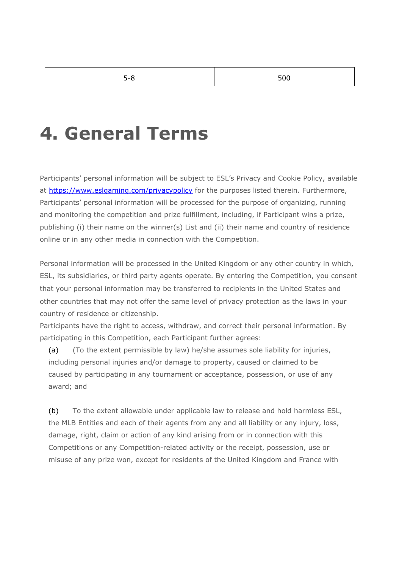### **4. General Terms**

Participants' personal information will be subject to ESL's Privacy and Cookie Policy, available at <https://www.eslgaming.com/privacypolicy> for the purposes listed therein. Furthermore, Participants' personal information will be processed for the purpose of organizing, running and monitoring the competition and prize fulfillment, including, if Participant wins a prize, publishing (i) their name on the winner(s) List and (ii) their name and country of residence online or in any other media in connection with the Competition.

Personal information will be processed in the United Kingdom or any other country in which, ESL, its subsidiaries, or third party agents operate. By entering the Competition, you consent that your personal information may be transferred to recipients in the United States and other countries that may not offer the same level of privacy protection as the laws in your country of residence or citizenship.

Participants have the right to access, withdraw, and correct their personal information. By participating in this Competition, each Participant further agrees:

(a) (To the extent permissible by law) he/she assumes sole liability for injuries, including personal injuries and/or damage to property, caused or claimed to be caused by participating in any tournament or acceptance, possession, or use of any award; and

(b) To the extent allowable under applicable law to release and hold harmless ESL, the MLB Entities and each of their agents from any and all liability or any injury, loss, damage, right, claim or action of any kind arising from or in connection with this Competitions or any Competition-related activity or the receipt, possession, use or misuse of any prize won, except for residents of the United Kingdom and France with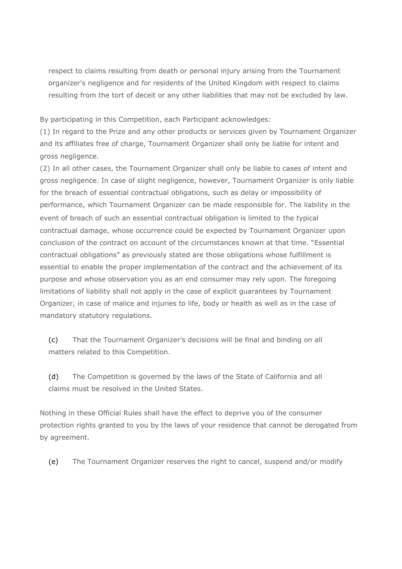respect to claims resulting from death or personal injury arising from the Tournament organizer's negligence and for residents of the United Kingdom with respect to claims resulting from the tort of deceit or any other liabilities that may not be excluded by law.

By participating in this Competition, each Participant acknowledges:

(1) In regard to the Prize and any other products or services given by Tournament Organizer and its affiliates free of charge, Tournament Organizer shall only be liable for intent and gross negligence.

(2) In all other cases, the Tournament Organizer shall only be liable to cases of intent and gross negligence. In case of slight negligence, however, Tournament Organizer is only liable for the breach of essential contractual obligations, such as delay or impossibility of performance, which Tournament Organizer can be made responsible for. The liability in the event of breach of such an essential contractual obligation is limited to the typical contractual damage, whose occurrence could be expected by Tournament Organizer upon conclusion of the contract on account of the circumstances known at that time. "Essential contractual obligations" as previously stated are those obligations whose fulfillment is essential to enable the proper implementation of the contract and the achievement of its purpose and whose observation you as an end consumer may rely upon. The foregoing limitations of liability shall not apply in the case of explicit guarantees by Tournament Organizer, in case of malice and injuries to life, body or health as well as in the case of mandatory statutory regulations.

(c) That the Tournament Organizer's decisions will be final and binding on all matters related to this Competition.

(d) The Competition is governed by the laws of the State of California and all claims must be resolved in the United States.

Nothing in these Official Rules shall have the effect to deprive you of the consumer protection rights granted to you by the laws of your residence that cannot be derogated from by agreement.

(e) The Tournament Organizer reserves the right to cancel, suspend and/or modify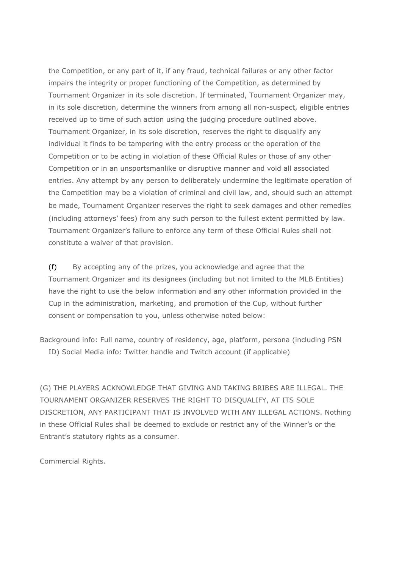the Competition, or any part of it, if any fraud, technical failures or any other factor impairs the integrity or proper functioning of the Competition, as determined by Tournament Organizer in its sole discretion. If terminated, Tournament Organizer may, in its sole discretion, determine the winners from among all non-suspect, eligible entries received up to time of such action using the judging procedure outlined above. Tournament Organizer, in its sole discretion, reserves the right to disqualify any individual it finds to be tampering with the entry process or the operation of the Competition or to be acting in violation of these Official Rules or those of any other Competition or in an unsportsmanlike or disruptive manner and void all associated entries. Any attempt by any person to deliberately undermine the legitimate operation of the Competition may be a violation of criminal and civil law, and, should such an attempt be made, Tournament Organizer reserves the right to seek damages and other remedies (including attorneys' fees) from any such person to the fullest extent permitted by law. Tournament Organizer's failure to enforce any term of these Official Rules shall not constitute a waiver of that provision.

(f) By accepting any of the prizes, you acknowledge and agree that the Tournament Organizer and its designees (including but not limited to the MLB Entities) have the right to use the below information and any other information provided in the Cup in the administration, marketing, and promotion of the Cup, without further consent or compensation to you, unless otherwise noted below:

Background info: Full name, country of residency, age, platform, persona (including PSN ID) Social Media info: Twitter handle and Twitch account (if applicable)

(G) THE PLAYERS ACKNOWLEDGE THAT GIVING AND TAKING BRIBES ARE ILLEGAL. THE TOURNAMENT ORGANIZER RESERVES THE RIGHT TO DISQUALIFY, AT ITS SOLE DISCRETION, ANY PARTICIPANT THAT IS INVOLVED WITH ANY ILLEGAL ACTIONS. Nothing in these Official Rules shall be deemed to exclude or restrict any of the Winner's or the Entrant's statutory rights as a consumer.

Commercial Rights.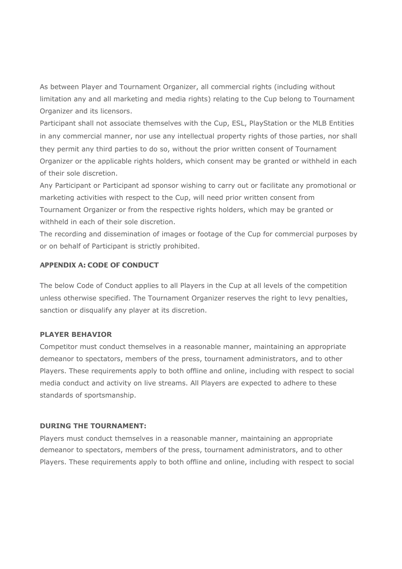As between Player and Tournament Organizer, all commercial rights (including without limitation any and all marketing and media rights) relating to the Cup belong to Tournament Organizer and its licensors.

Participant shall not associate themselves with the Cup, ESL, PlayStation or the MLB Entities in any commercial manner, nor use any intellectual property rights of those parties, nor shall they permit any third parties to do so, without the prior written consent of Tournament Organizer or the applicable rights holders, which consent may be granted or withheld in each of their sole discretion.

Any Participant or Participant ad sponsor wishing to carry out or facilitate any promotional or marketing activities with respect to the Cup, will need prior written consent from Tournament Organizer or from the respective rights holders, which may be granted or withheld in each of their sole discretion.

The recording and dissemination of images or footage of the Cup for commercial purposes by or on behalf of Participant is strictly prohibited.

### APPENDIX A: CODE OF CONDUCT

The below Code of Conduct applies to all Players in the Cup at all levels of the competition unless otherwise specified. The Tournament Organizer reserves the right to levy penalties, sanction or disqualify any player at its discretion.

### **PLAYER BEHAVIOR**

Competitor must conduct themselves in a reasonable manner, maintaining an appropriate demeanor to spectators, members of the press, tournament administrators, and to other Players. These requirements apply to both offline and online, including with respect to social media conduct and activity on live streams. All Players are expected to adhere to these standards of sportsmanship.

### **DURING THE TOURNAMENT:**

Players must conduct themselves in a reasonable manner, maintaining an appropriate demeanor to spectators, members of the press, tournament administrators, and to other Players. These requirements apply to both offline and online, including with respect to social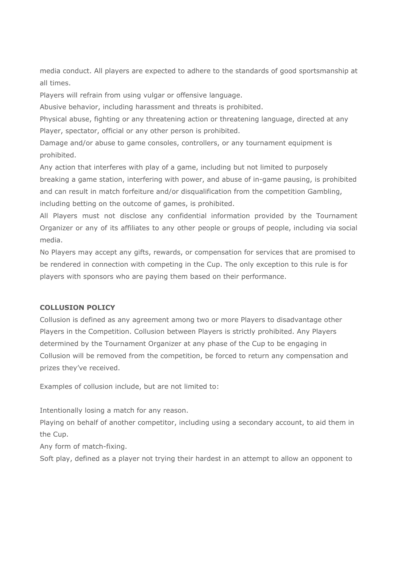media conduct. All players are expected to adhere to the standards of good sportsmanship at all times.

Players will refrain from using vulgar or offensive language.

Abusive behavior, including harassment and threats is prohibited.

Physical abuse, fighting or any threatening action or threatening language, directed at any Player, spectator, official or any other person is prohibited.

Damage and/or abuse to game consoles, controllers, or any tournament equipment is prohibited.

Any action that interferes with play of a game, including but not limited to purposely breaking a game station, interfering with power, and abuse of in-game pausing, is prohibited and can result in match forfeiture and/or disqualification from the competition Gambling, including betting on the outcome of games, is prohibited.

All Players must not disclose any confidential information provided by the Tournament Organizer or any of its affiliates to any other people or groups of people, including via social media.

No Players may accept any gifts, rewards, or compensation for services that are promised to be rendered in connection with competing in the Cup. The only exception to this rule is for players with sponsors who are paying them based on their performance.

### **COLLUSION POLICY**

Collusion is defined as any agreement among two or more Players to disadvantage other Players in the Competition. Collusion between Players is strictly prohibited. Any Players determined by the Tournament Organizer at any phase of the Cup to be engaging in Collusion will be removed from the competition, be forced to return any compensation and prizes they've received.

Examples of collusion include, but are not limited to:

Intentionally losing a match for any reason.

Playing on behalf of another competitor, including using a secondary account, to aid them in the Cup.

Any form of match-fixing.

Soft play, defined as a player not trying their hardest in an attempt to allow an opponent to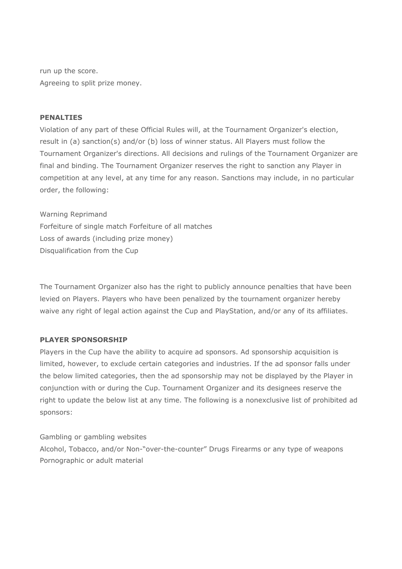run up the score. Agreeing to split prize money.

### **PENALTIES**

Violation of any part of these Official Rules will, at the Tournament Organizer's election, result in (a) sanction(s) and/or (b) loss of winner status. All Players must follow the Tournament Organizer's directions. All decisions and rulings of the Tournament Organizer are final and binding. The Tournament Organizer reserves the right to sanction any Player in competition at any level, at any time for any reason. Sanctions may include, in no particular order, the following:

Warning Reprimand Forfeiture of single match Forfeiture of all matches Loss of awards (including prize money) Disqualification from the Cup

The Tournament Organizer also has the right to publicly announce penalties that have been levied on Players. Players who have been penalized by the tournament organizer hereby waive any right of legal action against the Cup and PlayStation, and/or any of its affiliates.

### **PLAYER SPONSORSHIP**

Players in the Cup have the ability to acquire ad sponsors. Ad sponsorship acquisition is limited, however, to exclude certain categories and industries. If the ad sponsor falls under the below limited categories, then the ad sponsorship may not be displayed by the Player in conjunction with or during the Cup. Tournament Organizer and its designees reserve the right to update the below list at any time. The following is a nonexclusive list of prohibited ad sponsors:

Gambling or gambling websites Alcohol, Tobacco, and/or Non-"over-the-counter" Drugs Firearms or any type of weapons Pornographic or adult material